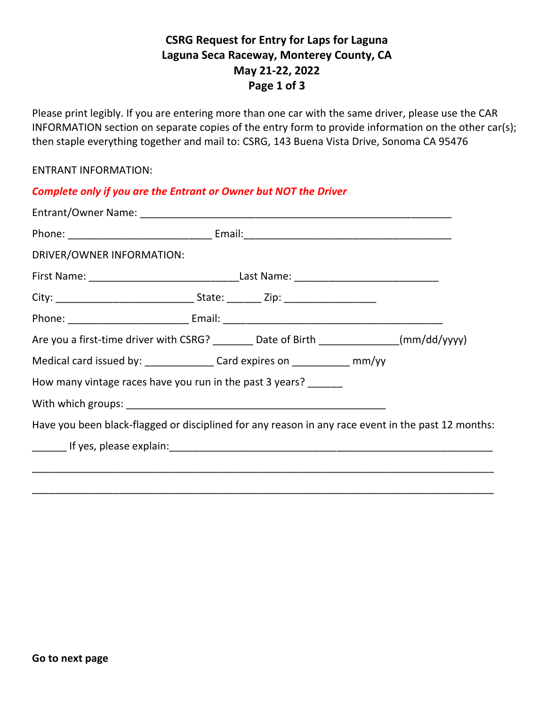# **CSRG Request for Entry for Laps for Laguna Laguna Seca Raceway, Monterey County, CA May 21-22, 2022 Page 1 of 3**

Please print legibly. If you are entering more than one car with the same driver, please use the CAR INFORMATION section on separate copies of the entry form to provide information on the other car(s); then staple everything together and mail to: CSRG, 143 Buena Vista Drive, Sonoma CA 95476

### ENTRANT INFORMATION:

| <b>Complete only if you are the Entrant or Owner but NOT the Driver</b>                            |  |  |  |
|----------------------------------------------------------------------------------------------------|--|--|--|
|                                                                                                    |  |  |  |
|                                                                                                    |  |  |  |
| DRIVER/OWNER INFORMATION:                                                                          |  |  |  |
|                                                                                                    |  |  |  |
|                                                                                                    |  |  |  |
|                                                                                                    |  |  |  |
| Are you a first-time driver with CSRG? ________ Date of Birth _____________(mm/dd/yyyy)            |  |  |  |
| Medical card issued by: ________________Card expires on ______________ mm/yy                       |  |  |  |
| How many vintage races have you run in the past 3 years? ______                                    |  |  |  |
|                                                                                                    |  |  |  |
| Have you been black-flagged or disciplined for any reason in any race event in the past 12 months: |  |  |  |
|                                                                                                    |  |  |  |
|                                                                                                    |  |  |  |
|                                                                                                    |  |  |  |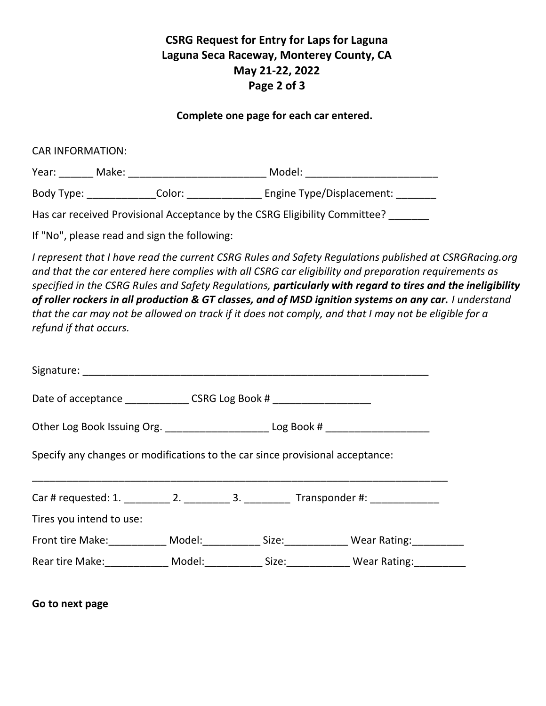# **CSRG Request for Entry for Laps for Laguna Laguna Seca Raceway, Monterey County, CA May 21-22, 2022 Page 2 of 3**

### **Complete one page for each car entered.**

CAR INFORMATION:

| Year:      | Make: |        | Model:                    |
|------------|-------|--------|---------------------------|
| Body Type: |       | Color: | Engine Type/Displacement: |

Has car received Provisional Acceptance by the CSRG Eligibility Committee?

If "No", please read and sign the following:

*I represent that I have read the current CSRG Rules and Safety Regulations published at CSRGRacing.org and that the car entered here complies with all CSRG car eligibility and preparation requirements as specified in the CSRG Rules and Safety Regulations, particularly with regard to tires and the ineligibility of roller rockers in all production & GT classes, and of MSD ignition systems on any car. I understand that the car may not be allowed on track if it does not comply, and that I may not be eligible for a refund if that occurs.*

| Date of acceptance ________________ CSRG Log Book # _____________________                  |  |  |  |
|--------------------------------------------------------------------------------------------|--|--|--|
| Other Log Book Issuing Org. _________________________Log Book # ________________           |  |  |  |
| Specify any changes or modifications to the car since provisional acceptance:              |  |  |  |
|                                                                                            |  |  |  |
| Tires you intend to use:                                                                   |  |  |  |
| Front tire Make: ___________ Model: ___________ Size: ____________ Wear Rating: __________ |  |  |  |
| Rear tire Make: Model: Size: Wear Rating:                                                  |  |  |  |

**Go to next page**